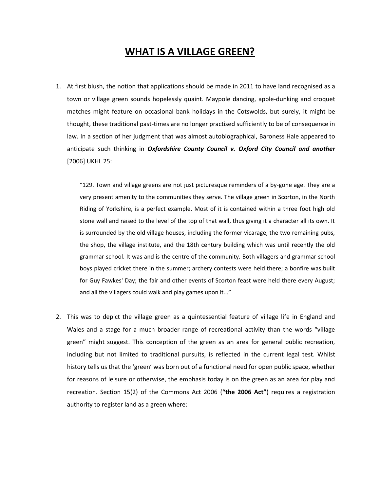# **WHAT IS A VILLAGE GREEN?**

1. At first blush, the notion that applications should be made in 2011 to have land recognised as a town or village green sounds hopelessly quaint. Maypole dancing, apple-dunking and croquet matches might feature on occasional bank holidays in the Cotswolds, but surely, it might be thought, these traditional past-times are no longer practised sufficiently to be of consequence in law. In a section of her judgment that was almost autobiographical, Baroness Hale appeared to anticipate such thinking in *Oxfordshire County Council v. Oxford City Council and another* [2006] UKHL 25:

"129. Town and village greens are not just picturesque reminders of a by-gone age. They are a very present amenity to the communities they serve. The village green in Scorton, in the North Riding of Yorkshire, is a perfect example. Most of it is contained within a three foot high old stone wall and raised to the level of the top of that wall, thus giving it a character all its own. It is surrounded by the old village houses, including the former vicarage, the two remaining pubs, the shop, the village institute, and the 18th century building which was until recently the old grammar school. It was and is the centre of the community. Both villagers and grammar school boys played cricket there in the summer; archery contests were held there; a bonfire was built for Guy Fawkes' Day; the fair and other events of Scorton feast were held there every August; and all the villagers could walk and play games upon it..."

2. This was to depict the village green as a quintessential feature of village life in England and Wales and a stage for a much broader range of recreational activity than the words "village green" might suggest. This conception of the green as an area for general public recreation, including but not limited to traditional pursuits, is reflected in the current legal test. Whilst history tells us that the 'green' was born out of a functional need for open public space, whether for reasons of leisure or otherwise, the emphasis today is on the green as an area for play and recreation. Section 15(2) of the Commons Act 2006 (**"the 2006 Act"**) requires a registration authority to register land as a green where: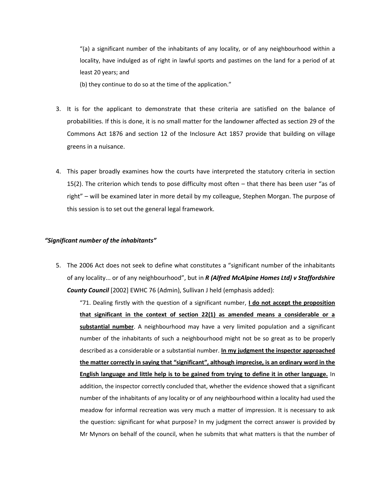"(a) a significant number of the inhabitants of any locality, or of any neighbourhood within a locality, have indulged as of right in lawful sports and pastimes on the land for a period of at least 20 years; and

(b) they continue to do so at the time of the application."

- 3. It is for the applicant to demonstrate that these criteria are satisfied on the balance of probabilities. If this is done, it is no small matter for the landowner affected as section 29 of the Commons Act 1876 and section 12 of the Inclosure Act 1857 provide that building on village greens in a nuisance.
- 4. This paper broadly examines how the courts have interpreted the statutory criteria in section 15(2). The criterion which tends to pose difficulty most often – that there has been user "as of right" – will be examined later in more detail by my colleague, Stephen Morgan. The purpose of this session is to set out the general legal framework.

#### *"Significant number of the inhabitants"*

5. The 2006 Act does not seek to define what constitutes a "significant number of the inhabitants of any locality... or of any neighbourhood", but in *R (Alfred McAlpine Homes Ltd) v Staffordshire County Council* [2002] EWHC 76 (Admin), Sullivan J held (emphasis added):

"71. Dealing firstly with the question of a significant number, **I do not accept the proposition that significant in the context of section 22(1) as amended means a considerable or a substantial number**. A neighbourhood may have a very limited population and a significant number of the inhabitants of such a neighbourhood might not be so great as to be properly described as a considerable or a substantial number. **In my judgment the inspector approached the matter correctly in saying that "significant", although imprecise, is an ordinary word in the English language and little help is to be gained from trying to define it in other language.** In addition, the inspector correctly concluded that, whether the evidence showed that a significant number of the inhabitants of any locality or of any neighbourhood within a locality had used the meadow for informal recreation was very much a matter of impression. It is necessary to ask the question: significant for what purpose? In my judgment the correct answer is provided by Mr Mynors on behalf of the council, when he submits that what matters is that the number of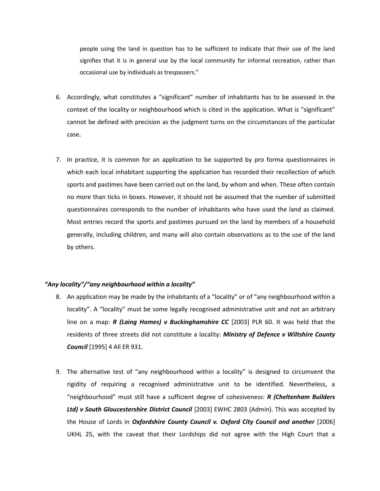people using the land in question has to be sufficient to indicate that their use of the land signifies that it is in general use by the local community for informal recreation, rather than occasional use by individuals as trespassers."

- 6. Accordingly, what constitutes a "significant" number of inhabitants has to be assessed in the context of the locality or neighbourhood which is cited in the application. What is "significant" cannot be defined with precision as the judgment turns on the circumstances of the particular case.
- 7. In practice, it is common for an application to be supported by pro forma questionnaires in which each local inhabitant supporting the application has recorded their recollection of which sports and pastimes have been carried out on the land, by whom and when. These often contain no more than ticks in boxes. However, it should not be assumed that the number of submitted questionnaires corresponds to the number of inhabitants who have used the land as claimed. Most entries record the sports and pastimes pursued on the land by members of a household generally, including children, and many will also contain observations as to the use of the land by others.

#### *"Any locality"/"any neighbourhood within a locality"*

- 8. An application may be made by the inhabitants of a "locality" or of "any neighbourhood within a locality". A "locality" must be some legally recognised administrative unit and not an arbitrary line on a map: *R (Laing Homes) v Buckinghamshire CC* [2003] PLR 60. It was held that the residents of three streets did not constitute a locality: *Ministry of Defence v Wiltshire County Council* [1995] 4 All ER 931.
- 9. The alternative test of "any neighbourhood within a locality" is designed to circumvent the rigidity of requiring a recognised administrative unit to be identified. Nevertheless, a "neighbourhood" must still have a sufficient degree of cohesiveness: *R (Cheltenham Builders Ltd) v South Gloucestershire District Council* [2003] EWHC 2803 (Admin). This was accepted by the House of Lords in *Oxfordshire County Council v. Oxford City Council and another* [2006] UKHL 25, with the caveat that their Lordships did not agree with the High Court that a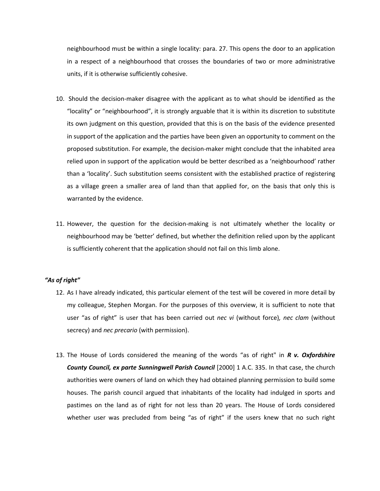neighbourhood must be within a single locality: para. 27. This opens the door to an application in a respect of a neighbourhood that crosses the boundaries of two or more administrative units, if it is otherwise sufficiently cohesive.

- 10. Should the decision-maker disagree with the applicant as to what should be identified as the "locality" or "neighbourhood", it is strongly arguable that it is within its discretion to substitute its own judgment on this question, provided that this is on the basis of the evidence presented in support of the application and the parties have been given an opportunity to comment on the proposed substitution. For example, the decision-maker might conclude that the inhabited area relied upon in support of the application would be better described as a 'neighbourhood' rather than a 'locality'. Such substitution seems consistent with the established practice of registering as a village green a smaller area of land than that applied for, on the basis that only this is warranted by the evidence.
- 11. However, the question for the decision-making is not ultimately whether the locality or neighbourhood may be 'better' defined, but whether the definition relied upon by the applicant is sufficiently coherent that the application should not fail on this limb alone.

## *"As of right"*

- 12. As I have already indicated, this particular element of the test will be covered in more detail by my colleague, Stephen Morgan. For the purposes of this overview, it is sufficient to note that user "as of right" is user that has been carried out *nec vi* (without force)*, nec clam* (without secrecy) and *nec precario* (with permission).
- 13. The House of Lords considered the meaning of the words "as of right" in *R v. Oxfordshire County Council, ex parte Sunningwell Parish Council* [2000] 1 A.C. 335. In that case, the church authorities were owners of land on which they had obtained planning permission to build some houses. The parish council argued that inhabitants of the locality had indulged in sports and pastimes on the land as of right for not less than 20 years. The House of Lords considered whether user was precluded from being "as of right" if the users knew that no such right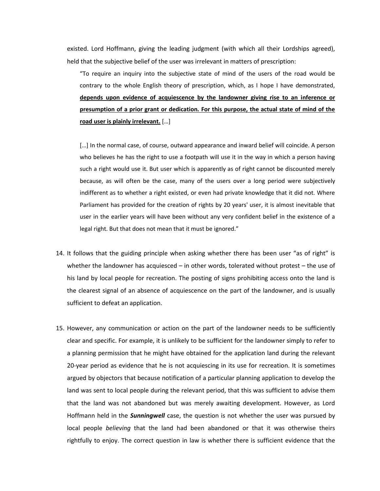existed. Lord Hoffmann, giving the leading judgment (with which all their Lordships agreed), held that the subjective belief of the user was irrelevant in matters of prescription:

"To require an inquiry into the subjective state of mind of the users of the road would be contrary to the whole English theory of prescription, which, as I hope I have demonstrated, **depends upon evidence of acquiescence by the landowner giving rise to an inference or presumption of a prior grant or dedication. For this purpose, the actual state of mind of the road user is plainly irrelevant.** […]

[...] In the normal case, of course, outward appearance and inward belief will coincide. A person who believes he has the right to use a footpath will use it in the way in which a person having such a right would use it. But user which is apparently as of right cannot be discounted merely because, as will often be the case, many of the users over a long period were subjectively indifferent as to whether a right existed, or even had private knowledge that it did not. Where Parliament has provided for the creation of rights by 20 years' user, it is almost inevitable that user in the earlier years will have been without any very confident belief in the existence of a legal right. But that does not mean that it must be ignored."

- 14. It follows that the guiding principle when asking whether there has been user "as of right" is whether the landowner has acquiesced – in other words, tolerated without protest – the use of his land by local people for recreation. The posting of signs prohibiting access onto the land is the clearest signal of an absence of acquiescence on the part of the landowner, and is usually sufficient to defeat an application.
- 15. However, any communication or action on the part of the landowner needs to be sufficiently clear and specific. For example, it is unlikely to be sufficient for the landowner simply to refer to a planning permission that he might have obtained for the application land during the relevant 20-year period as evidence that he is not acquiescing in its use for recreation. It is sometimes argued by objectors that because notification of a particular planning application to develop the land was sent to local people during the relevant period, that this was sufficient to advise them that the land was not abandoned but was merely awaiting development. However, as Lord Hoffmann held in the *Sunningwell* case, the question is not whether the user was pursued by local people *believing* that the land had been abandoned or that it was otherwise theirs rightfully to enjoy. The correct question in law is whether there is sufficient evidence that the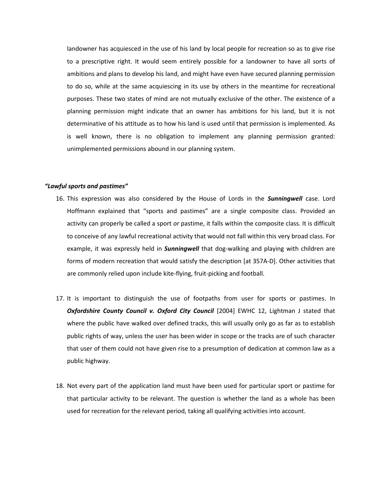landowner has acquiesced in the use of his land by local people for recreation so as to give rise to a prescriptive right. It would seem entirely possible for a landowner to have all sorts of ambitions and plans to develop his land, and might have even have secured planning permission to do so, while at the same acquiescing in its use by others in the meantime for recreational purposes. These two states of mind are not mutually exclusive of the other. The existence of a planning permission might indicate that an owner has ambitions for his land, but it is not determinative of his attitude as to how his land is used until that permission is implemented. As is well known, there is no obligation to implement any planning permission granted: unimplemented permissions abound in our planning system.

#### *"Lawful sports and pastimes"*

- 16. This expression was also considered by the House of Lords in the *Sunningwell* case. Lord Hoffmann explained that "sports and pastimes" are a single composite class. Provided an activity can properly be called a sport *or* pastime, it falls within the composite class. It is difficult to conceive of any lawful recreational activity that would not fall within this very broad class. For example, it was expressly held in *Sunningwell* that dog-walking and playing with children are forms of modern recreation that would satisfy the description [at 357A-D]. Other activities that are commonly relied upon include kite-flying, fruit-picking and football.
- 17. It is important to distinguish the use of footpaths from user for sports or pastimes. In *Oxfordshire County Council v. Oxford City Council* [2004] EWHC 12, Lightman J stated that where the public have walked over defined tracks, this will usually only go as far as to establish public rights of way, unless the user has been wider in scope or the tracks are of such character that user of them could not have given rise to a presumption of dedication at common law as a public highway.
- 18. Not every part of the application land must have been used for particular sport or pastime for that particular activity to be relevant. The question is whether the land as a whole has been used for recreation for the relevant period, taking all qualifying activities into account.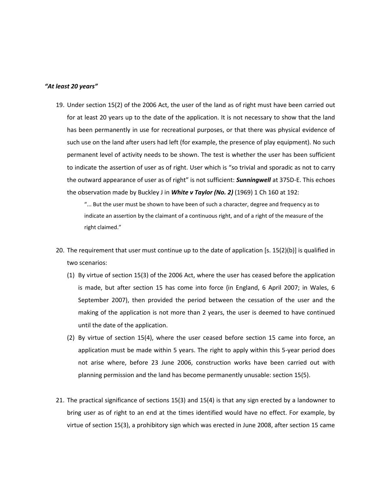#### *"At least 20 years"*

19. Under section 15(2) of the 2006 Act, the user of the land as of right must have been carried out for at least 20 years up to the date of the application. It is not necessary to show that the land has been permanently in use for recreational purposes, or that there was physical evidence of such use on the land after users had left (for example, the presence of play equipment). No such permanent level of activity needs to be shown. The test is whether the user has been sufficient to indicate the assertion of user as of right. User which is "so trivial and sporadic as not to carry the outward appearance of user as of right" is not sufficient: *Sunningwell* at 375D-E. This echoes the observation made by Buckley J in *White v Taylor (No. 2)* (1969) 1 Ch 160 at 192:

"... But the user must be shown to have been of such a character, degree and frequency as to indicate an assertion by the claimant of a continuous right, and of a right of the measure of the right claimed."

- 20. The requirement that user must continue up to the date of application [s. 15(2)(b)] is qualified in two scenarios:
	- (1) By virtue of section 15(3) of the 2006 Act, where the user has ceased before the application is made, but after section 15 has come into force (in England, 6 April 2007; in Wales, 6 September 2007), then provided the period between the cessation of the user and the making of the application is not more than 2 years, the user is deemed to have continued until the date of the application.
	- (2) By virtue of section 15(4), where the user ceased before section 15 came into force, an application must be made within 5 years. The right to apply within this 5-year period does not arise where, before 23 June 2006, construction works have been carried out with planning permission and the land has become permanently unusable: section 15(5).
- 21. The practical significance of sections 15(3) and 15(4) is that any sign erected by a landowner to bring user as of right to an end at the times identified would have no effect. For example, by virtue of section 15(3), a prohibitory sign which was erected in June 2008, after section 15 came